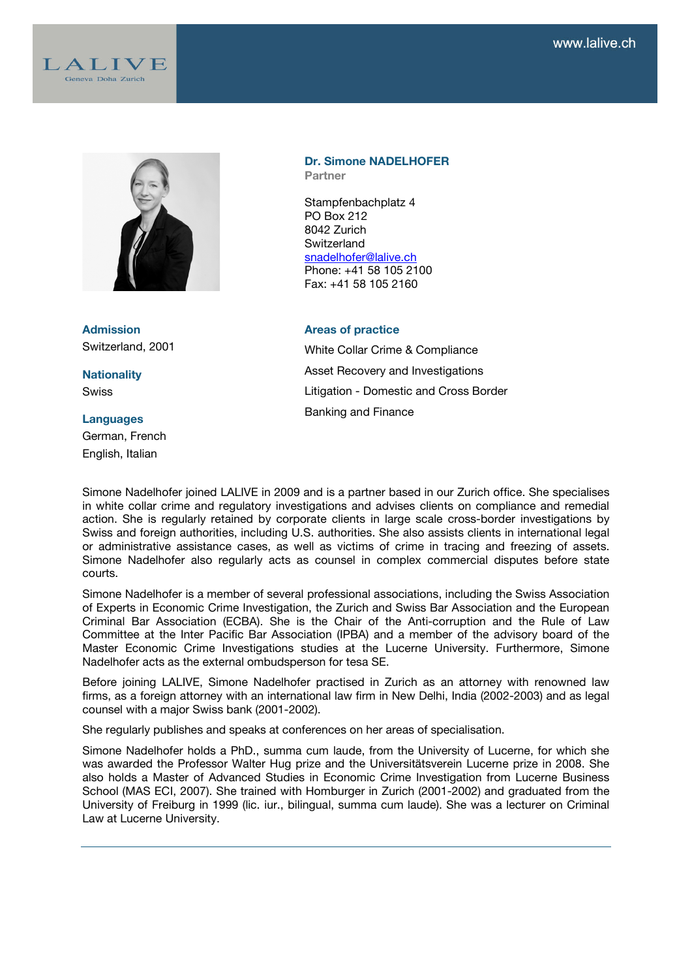



**Admission** Switzerland, 2001

**Nationality Swiss** 

#### **Languages**

German, French English, Italian

#### **Dr. Simone NADELHOFER Partner**

Stampfenbachplatz 4 PO Box 212 8042 Zurich **Switzerland** snadelhofer@lalive.ch Phone: +41 58 105 2100 Fax: +41 58 105 2160

### **Areas of practice**

White Collar Crime & Compliance Asset Recovery and Investigations Litigation - Domestic and Cross Border Banking and Finance

Simone Nadelhofer joined LALIVE in 2009 and is a partner based in our Zurich office. She specialises in white collar crime and regulatory investigations and advises clients on compliance and remedial action. She is regularly retained by corporate clients in large scale cross-border investigations by Swiss and foreign authorities, including U.S. authorities. She also assists clients in international legal or administrative assistance cases, as well as victims of crime in tracing and freezing of assets. Simone Nadelhofer also regularly acts as counsel in complex commercial disputes before state courts.

Simone Nadelhofer is a member of several professional associations, including the Swiss Association of Experts in Economic Crime Investigation, the Zurich and Swiss Bar Association and the European Criminal Bar Association (ECBA). She is the Chair of the Anti-corruption and the Rule of Law Committee at the Inter Pacific Bar Association (IPBA) and a member of the advisory board of the Master Economic Crime Investigations studies at the Lucerne University. Furthermore, Simone Nadelhofer acts as the external ombudsperson for tesa SE.

Before joining LALIVE, Simone Nadelhofer practised in Zurich as an attorney with renowned law firms, as a foreign attorney with an international law firm in New Delhi, India (2002-2003) and as legal counsel with a major Swiss bank (2001-2002).

She regularly publishes and speaks at conferences on her areas of specialisation.

Simone Nadelhofer holds a PhD., summa cum laude, from the University of Lucerne, for which she was awarded the Professor Walter Hug prize and the Universitätsverein Lucerne prize in 2008. She also holds a Master of Advanced Studies in Economic Crime Investigation from Lucerne Business School (MAS ECI, 2007). She trained with Homburger in Zurich (2001-2002) and graduated from the University of Freiburg in 1999 (lic. iur., bilingual, summa cum laude). She was a lecturer on Criminal Law at Lucerne University.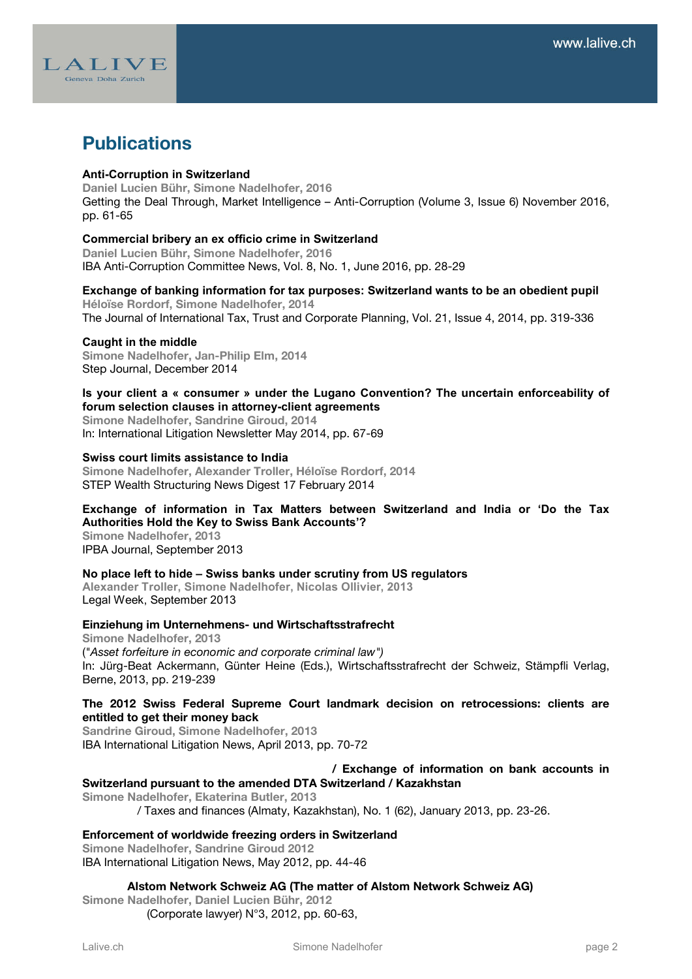

# **Publications**

### Anti-Corruption in Switzerland

**Daniel Lucien Bühr, Simone Nadelhofer, 2016** Getting the Deal Through, Market Intelligence – Anti-Corruption (Volume 3, Issue 6) November 2016, pp. 61-65

### Commercial bribery an ex officio crime in Switzerland

**Daniel Lucien Bühr, Simone Nadelhofer, 2016** IBA Anti-Corruption Committee News, Vol. 8, No. 1, June 2016, pp. 28-29

### Exchange of banking information for tax purposes: Switzerland wants to be an obedient pupil

**Héloïse Rordorf, Simone Nadelhofer, 2014** The Journal of International Tax, Trust and Corporate Planning, Vol. 21, Issue 4, 2014, pp. 319-336

### Caught in the middle

**Simone Nadelhofer, Jan-Philip Elm, 2014** Step Journal, December 2014

### Is your client a « consumer » under the Lugano Convention? The uncertain enforceability of forum selection clauses in attorney-client agreements

**Simone Nadelhofer, Sandrine Giroud, 2014** In: International Litigation Newsletter May 2014, pp. 67-69

### Swiss court limits assistance to India

**Simone Nadelhofer, Alexander Troller, Héloïse Rordorf, 2014** STEP Wealth Structuring News Digest 17 February 2014

### Exchange of information in Tax Matters between Switzerland and India or 'Do the Tax Authorities Hold the Key to Swiss Bank Accounts'?

**Simone Nadelhofer, 2013** IPBA Journal, September 2013

### No place left to hide – Swiss banks under scrutiny from US regulators

Alexander Troller, Simone Nadelhofer, Nicolas Ollivier, 2013 Legal Week, September 2013

### **Einziehung im Unternehmens- und Wirtschaftsstrafrecht**

**Simone Nadelhofer, 2013** (*"Asset forfeiture in economic and corporate criminal law")* In: Jürg-Beat Ackermann, Günter Heine (Eds.), Wirtschaftsstrafrecht der Schweiz, Stämpfli Verlag, Berne, 2013, pp. 219-239

### **The 2012 Swiss Federal Supreme Court landmark decision on retrocessions: clients are entitled to get their money back**

**Sandrine Giroud, Simone Nadelhofer, 2013** IBA International Litigation News, April 2013, pp. 70-72

# **/ Exchange of information on bank accounts in**

## **Switzerland pursuant to the amended DTA Switzerland / Kazakhstan**

**Simone Nadelhofer, Ekaterina Butler, 2013**

/ Taxes and finances (Almaty, Kazakhstan), No. 1 (62), January 2013, pp. 23-26.

### **Enforcement of worldwide freezing orders in Switzerland**

**Simone Nadelhofer, Sandrine Giroud 2012** IBA International Litigation News, May 2012, pp. 44-46

### **Alstom Network Schweiz AG (The matter of Alstom Network Schweiz AG)**

**Simone Nadelhofer, Daniel Lucien Bühr, 2012** (Corporate lawyer) N°3, 2012, pp. 60-63,

Lalive.ch **Simone Nadelhofer page 2 Containers Page 2 Page 2**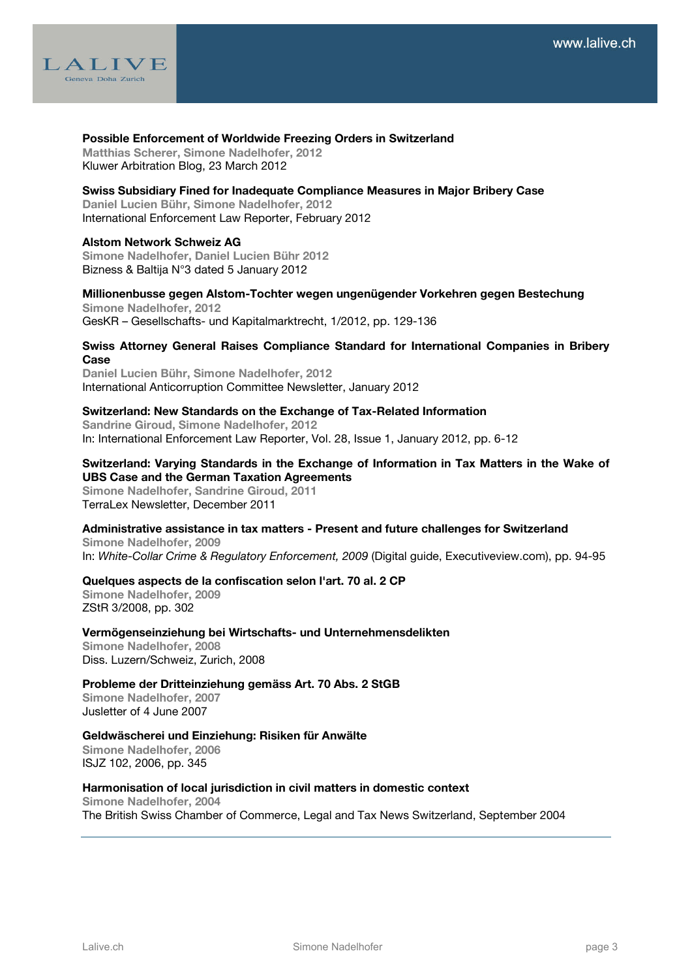

### **Possible Enforcement of Worldwide Freezing Orders in Switzerland**

**Matthias Scherer, Simone Nadelhofer, 2012** Kluwer Arbitration Blog, 23 March 2012

### **Swiss Subsidiary Fined for Inadequate Compliance Measures in Major Bribery Case**

**Daniel Lucien Bühr, Simone Nadelhofer, 2012** International Enforcement Law Reporter, February 2012

### **Alstom Network Schweiz AG**

**Simone Nadelhofer, Daniel Lucien Bühr 2012** Bizness & Baltija N°3 dated 5 January 2012

### **Millionenbusse gegen Alstom-Tochter wegen ungenügender Vorkehren gegen Bestechung Simone Nadelhofer, 2012**

GesKR – Gesellschafts- und Kapitalmarktrecht, 1/2012, pp. 129-136

### **Swiss Attorney General Raises Compliance Standard for International Companies in Bribery Case**

**Daniel Lucien Bühr, Simone Nadelhofer, 2012** International Anticorruption Committee Newsletter, January 2012

### **Switzerland: New Standards on the Exchange of Tax-Related Information**

**Sandrine Giroud, Simone Nadelhofer, 2012** In: International Enforcement Law Reporter, Vol. 28, Issue 1, January 2012, pp. 6-12

### **Switzerland: Varying Standards in the Exchange of Information in Tax Matters in the Wake of UBS Case and the German Taxation Agreements**

**Simone Nadelhofer, Sandrine Giroud, 2011** TerraLex Newsletter, December 2011

### **Administrative assistance in tax matters - Present and future challenges for Switzerland**

**Simone Nadelhofer, 2009** In: *White-Collar Crime & Regulatory Enforcement, 2009* (Digital guide, Executiveview.com), pp. 94-95

### **Quelques aspects de la confiscation selon l'art. 70 al. 2 CP**

**Simone Nadelhofer, 2009** ZStR 3/2008, pp. 302

### **Vermögenseinziehung bei Wirtschafts- und Unternehmensdelikten**

**Simone Nadelhofer, 2008** Diss. Luzern/Schweiz, Zurich, 2008

### **Probleme der Dritteinziehung gemäss Art. 70 Abs. 2 StGB**

**Simone Nadelhofer, 2007** Jusletter of 4 June 2007

### **Geldwäscherei und Einziehung: Risiken für Anwälte**

**Simone Nadelhofer, 2006** ISJZ 102, 2006, pp. 345

### **Harmonisation of local jurisdiction in civil matters in domestic context**

**Simone Nadelhofer, 2004** The British Swiss Chamber of Commerce, Legal and Tax News Switzerland, September 2004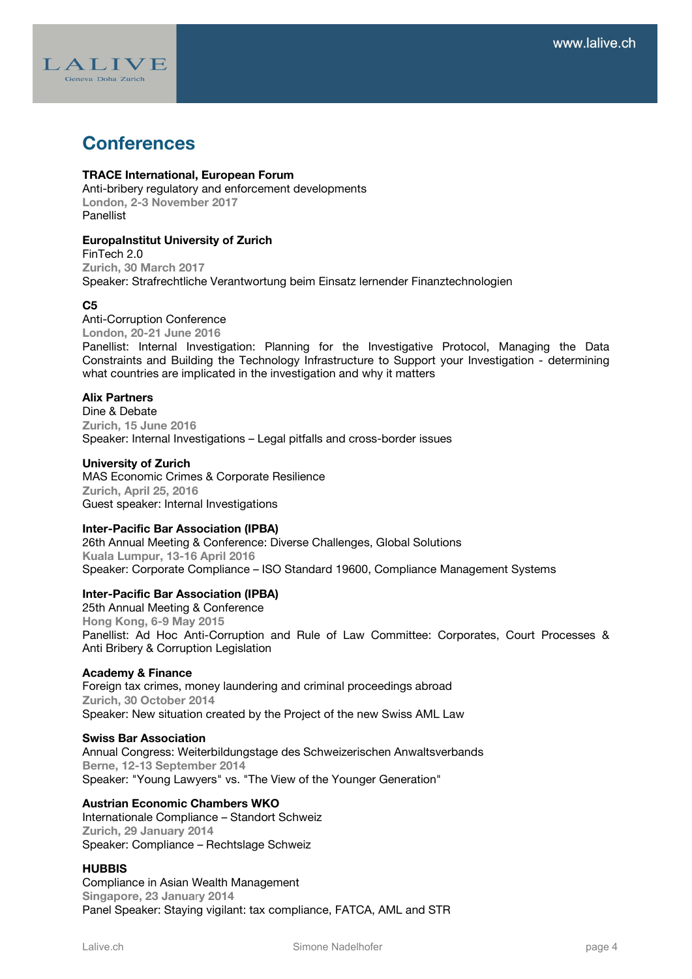

# **Conferences**

### **TRACE International, European Forum**

Anti-bribery regulatory and enforcement developments **London, 2-3 November 2017** Panellist

### **EuropaInstitut University of Zurich**

FinTech 2.0 **Zurich, 30 March 2017** Speaker: Strafrechtliche Verantwortung beim Einsatz lernender Finanztechnologien

### **C5**

Anti-Corruption Conference **London, 20-21 June 2016** Panellist: Internal Investigation: Planning for the Investigative Protocol, Managing the Data Constraints and Building the Technology Infrastructure to Support your Investigation - determining what countries are implicated in the investigation and why it matters

### **Alix Partners**

Dine & Debate **Zurich, 15 June 2016** Speaker: Internal Investigations – Legal pitfalls and cross-border issues

### **University of Zurich**

MAS Economic Crimes & Corporate Resilience **Zurich, April 25, 2016**  Guest speaker: Internal Investigations

### **Inter-Pacific Bar Association (IPBA)**

26th Annual Meeting & Conference: Diverse Challenges, Global Solutions **Kuala Lumpur, 13-16 April 2016** Speaker: Corporate Compliance – ISO Standard 19600, Compliance Management Systems

### **Inter-Pacific Bar Association (IPBA)**

25th Annual Meeting & Conference **Hong Kong, 6-9 May 2015** Panellist: Ad Hoc Anti-Corruption and Rule of Law Committee: Corporates, Court Processes & Anti Bribery & Corruption Legislation

### **Academy & Finance**

Foreign tax crimes, money laundering and criminal proceedings abroad **Zurich, 30 October 2014** Speaker: New situation created by the Project of the new Swiss AML Law

### **Swiss Bar Association**

Annual Congress: Weiterbildungstage des Schweizerischen Anwaltsverbands **Berne, 12-13 September 2014** Speaker: "Young Lawyers" vs. "The View of the Younger Generation"

### **Austrian Economic Chambers WKO**

Internationale Compliance – Standort Schweiz **Zurich, 29 January 2014** Speaker: Compliance – Rechtslage Schweiz

### **HUBBIS**

Compliance in Asian Wealth Management **Singapore, 23 Janua**r**y 2014** Panel Speaker: Staying vigilant: tax compliance, FATCA, AML and STR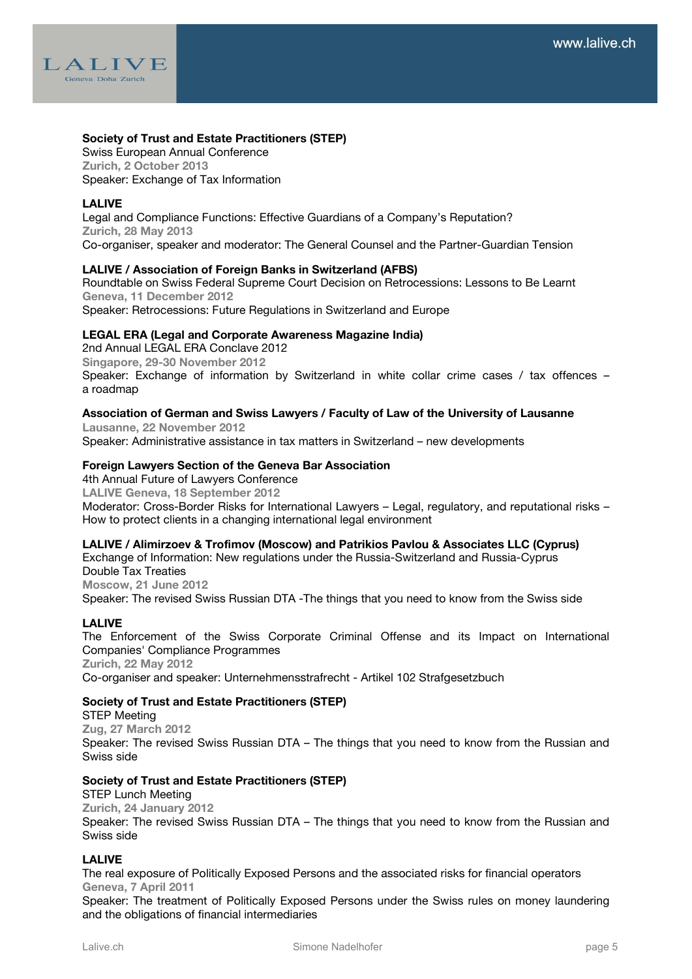

### **Society of Trust and Estate Practitioners (STEP)**

Swiss European Annual Conference **Zurich, 2 October 2013** Speaker: Exchange of Tax Information

### **LALIVE**

Legal and Compliance Functions: Effective Guardians of a Company's Reputation? **Zurich, 28 May 2013** Co-organiser, speaker and moderator: The General Counsel and the Partner-Guardian Tension

### **LALIVE / Association of Foreign Banks in Switzerland (AFBS)**

Roundtable on Swiss Federal Supreme Court Decision on Retrocessions: Lessons to Be Learnt **Geneva, 11 December 2012** Speaker: Retrocessions: Future Regulations in Switzerland and Europe

**LEGAL ERA (Legal and Corporate Awareness Magazine India)** 2nd Annual LEGAL ERA Conclave 2012 **Singapore, 29-30 November 2012** Speaker: Exchange of information by Switzerland in white collar crime cases / tax offences – a roadmap

### **Association of German and Swiss Lawyers / Faculty of Law of the University of Lausanne**

**Lausanne, 22 November 2012** Speaker: Administrative assistance in tax matters in Switzerland – new developments

### **Foreign Lawyers Section of the Geneva Bar Association**

4th Annual Future of Lawyers Conference **LALIVE Geneva, 18 September 2012** Moderator: Cross-Border Risks for International Lawyers – Legal, regulatory, and reputational risks – How to protect clients in a changing international legal environment

### **LALIVE / Alimirzoev & Trofimov (Moscow) and Patrikios Pavlou & Associates LLC (Cyprus)**

Exchange of Information: New regulations under the Russia-Switzerland and Russia-Cyprus Double Tax Treaties **Moscow, 21 June 2012** Speaker: The revised Swiss Russian DTA -The things that you need to know from the Swiss side

### **LALIVE**

The Enforcement of the Swiss Corporate Criminal Offense and its Impact on International Companies' Compliance Programmes **Zurich, 22 May 2012** Co-organiser and speaker: Unternehmensstrafrecht - Artikel 102 Strafgesetzbuch

### **Society of Trust and Estate Practitioners (STEP)**

STEP Meeting **Zug, 27 March 2012** Speaker: The revised Swiss Russian DTA – The things that you need to know from the Russian and Swiss side

### **Society of Trust and Estate Practitioners (STEP)**

STEP Lunch Meeting **Zurich, 24 January 2012** Speaker: The revised Swiss Russian DTA – The things that you need to know from the Russian and Swiss side

### **LALIVE**

The real exposure of Politically Exposed Persons and the associated risks for financial operators **Geneva, 7 April 2011**

Speaker: The treatment of Politically Exposed Persons under the Swiss rules on money laundering and the obligations of financial intermediaries